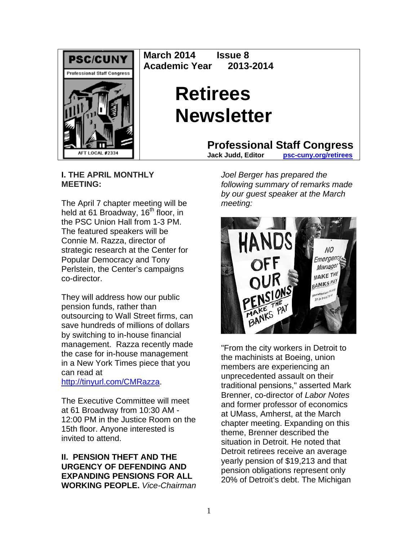

**March 2014 Issue 8 Academic Year 2013-2014** 

# **Retirees Newsletter**

**Professional Staff Congress**<br>Jack Judd. Editor psc-cuny.org/retirees

**DSC-CUNY.org/retirees** 

**I. THE APRIL MONTHLY MEETING:**

The April 7 chapter meeting will be held at 61 Broadway, 16<sup>th</sup> floor, in the PSC Union Hall from 1-3 PM. The featured speakers will be Connie M. Razza, director of strategic research at the Center for Popular Democracy and Tony Perlstein, the Center's campaigns co-director.

They will address how our public pension funds, rather than outsourcing to Wall Street firms, can save hundreds of millions of dollars by switching to in-house financial management. Razza recently made the case for in-house management in a New York Times piece that you can read at

http://tinyurl.com/CMRazza.

The Executive Committee will meet at 61 Broadway from 10:30 AM - 12:00 PM in the Justice Room on the 15th floor. Anyone interested is invited to attend.

**II. PENSION THEFT AND THE URGENCY OF DEFENDING AND EXPANDING PENSIONS FOR ALL WORKING PEOPLE.** *Vice-Chairman*  *Joel Berger has prepared the following summary of remarks made by our guest speaker at the March meeting:* 



"From the city workers in Detroit to the machinists at Boeing, union members are experiencing an unprecedented assault on their traditional pensions," asserted Mark Brenner, co-director of *Labor Notes*  and former professor of economics at UMass, Amherst, at the March chapter meeting. Expanding on this theme, Brenner described the situation in Detroit. He noted that Detroit retirees receive an average yearly pension of \$19,213 and that pension obligations represent only 20% of Detroit's debt. The Michigan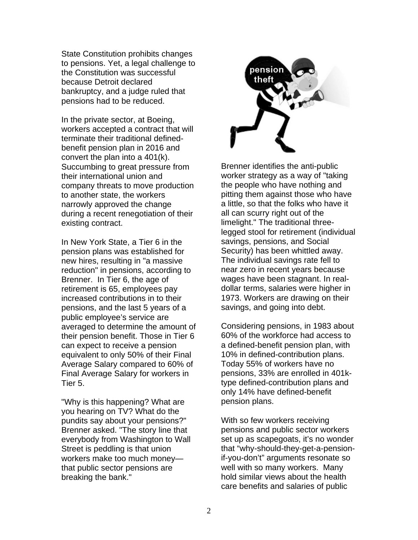State Constitution prohibits changes to pensions. Yet, a legal challenge to the Constitution was successful because Detroit declared bankruptcy, and a judge ruled that pensions had to be reduced.

In the private sector, at Boeing, workers accepted a contract that will terminate their traditional definedbenefit pension plan in 2016 and convert the plan into a 401(k). Succumbing to great pressure from their international union and company threats to move production to another state, the workers narrowly approved the change during a recent renegotiation of their existing contract.

In New York State, a Tier 6 in the pension plans was established for new hires, resulting in "a massive reduction" in pensions, according to Brenner. In Tier 6, the age of retirement is 65, employees pay increased contributions in to their pensions, and the last 5 years of a public employee's service are averaged to determine the amount of their pension benefit. Those in Tier 6 can expect to receive a pension equivalent to only 50% of their Final Average Salary compared to 60% of Final Average Salary for workers in Tier 5.

"Why is this happening? What are you hearing on TV? What do the pundits say about your pensions?" Brenner asked. "The story line that everybody from Washington to Wall Street is peddling is that union workers make too much money that public sector pensions are breaking the bank."



Brenner identifies the anti-public worker strategy as a way of "taking the people who have nothing and pitting them against those who have a little, so that the folks who have it all can scurry right out of the limelight." The traditional threelegged stool for retirement (individual savings, pensions, and Social Security) has been whittled away. The individual savings rate fell to near zero in recent years because wages have been stagnant. In realdollar terms, salaries were higher in 1973. Workers are drawing on their savings, and going into debt.

Considering pensions, in 1983 about 60% of the workforce had access to a defined-benefit pension plan, with 10% in defined-contribution plans. Today 55% of workers have no pensions, 33% are enrolled in 401ktype defined-contribution plans and only 14% have defined-benefit pension plans.

With so few workers receiving pensions and public sector workers set up as scapegoats, it's no wonder that "why-should-they-get-a-pensionif-you-don't" arguments resonate so well with so many workers. Many hold similar views about the health care benefits and salaries of public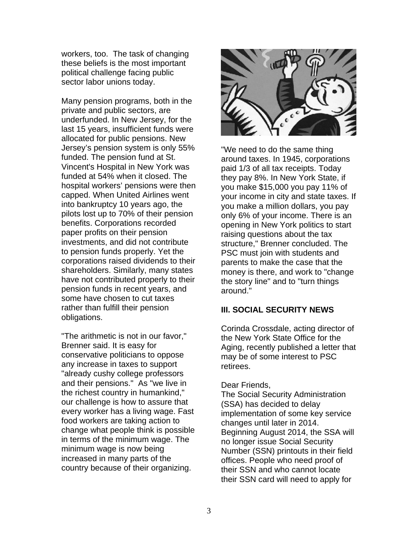workers, too. The task of changing these beliefs is the most important political challenge facing public sector labor unions today.

Many pension programs, both in the private and public sectors, are underfunded. In New Jersey, for the last 15 years, insufficient funds were allocated for public pensions. New Jersey's pension system is only 55% funded. The pension fund at St. Vincent's Hospital in New York was funded at 54% when it closed. The hospital workers' pensions were then capped. When United Airlines went into bankruptcy 10 years ago, the pilots lost up to 70% of their pension benefits. Corporations recorded paper profits on their pension investments, and did not contribute to pension funds properly. Yet the corporations raised dividends to their shareholders. Similarly, many states have not contributed properly to their pension funds in recent years, and some have chosen to cut taxes rather than fulfill their pension obligations.

"The arithmetic is not in our favor," Brenner said. It is easy for conservative politicians to oppose any increase in taxes to support "already cushy college professors and their pensions." As "we live in the richest country in humankind," our challenge is how to assure that every worker has a living wage. Fast food workers are taking action to change what people think is possible in terms of the minimum wage. The minimum wage is now being increased in many parts of the country because of their organizing.



"We need to do the same thing around taxes. In 1945, corporations paid 1/3 of all tax receipts. Today they pay 8%. In New York State, if you make \$15,000 you pay 11% of your income in city and state taxes. If you make a million dollars, you pay only 6% of your income. There is an opening in New York politics to start raising questions about the tax structure," Brenner concluded. The PSC must join with students and parents to make the case that the money is there, and work to "change the story line" and to "turn things around."

## **III. SOCIAL SECURITY NEWS**

Corinda Crossdale, acting director of the New York State Office for the Aging, recently published a letter that may be of some interest to PSC retirees.

### Dear Friends,

The Social Security Administration (SSA) has decided to delay implementation of some key service changes until later in 2014. Beginning August 2014, the SSA will no longer issue Social Security Number (SSN) printouts in their field offices. People who need proof of their SSN and who cannot locate their SSN card will need to apply for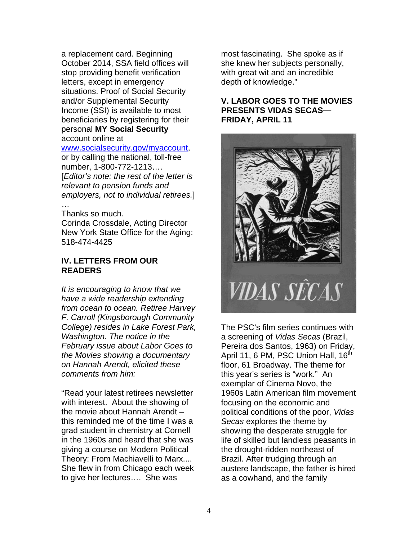a replacement card. Beginning October 2014, SSA field offices will stop providing benefit verification letters, except in emergency situations. Proof of Social Security and/or Supplemental Security Income (SSI) is available to most beneficiaries by registering for their personal **MY Social Security** account online at

#### www.socialsecurity.gov/myaccount,

or by calling the national, toll-free number, 1-800-772-1213…. [*Editor's note: the rest of the letter is relevant to pension funds and employers, not to individual retirees.*] …

#### Thanks so much.

Corinda Crossdale, Acting Director New York State Office for the Aging: 518-474-4425

## **IV. LETTERS FROM OUR READERS**

*It is encouraging to know that we have a wide readership extending from ocean to ocean. Retiree Harvey F. Carroll (Kingsborough Community College) resides in Lake Forest Park, Washington. The notice in the February issue about Labor Goes to the Movies showing a documentary on Hannah Arendt, elicited these comments from him:* 

"Read your latest retirees newsletter with interest. About the showing of the movie about Hannah Arendt – this reminded me of the time I was a grad student in chemistry at Cornell in the 1960s and heard that she was giving a course on Modern Political Theory: From Machiavelli to Marx.... She flew in from Chicago each week to give her lectures…. She was

most fascinating. She spoke as if she knew her subjects personally, with great wit and an incredible depth of knowledge."

## **V. LABOR GOES TO THE MOVIES PRESENTS VIDAS SECAS— FRIDAY, APRIL 11**



The PSC's film series continues with a screening of *Vidas Secas* (Brazil, Pereira dos Santos, 1963) on Friday, April 11, 6 PM, PSC Union Hall, 16<sup>th</sup> floor, 61 Broadway. The theme for this year's series is "work." An exemplar of Cinema Novo, the 1960s Latin American film movement focusing on the economic and political conditions of the poor, *Vidas Secas* explores the theme by showing the desperate struggle for life of skilled but landless peasants in the drought-ridden northeast of Brazil. After trudging through an austere landscape, the father is hired as a cowhand, and the family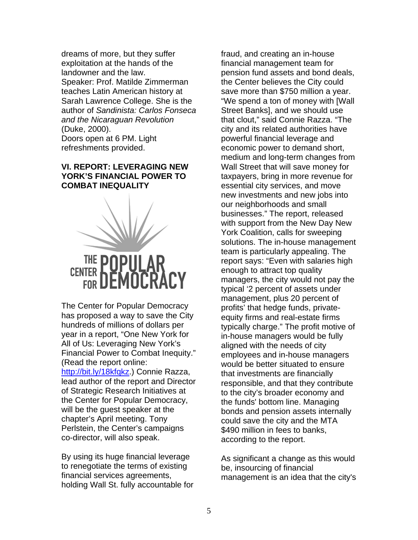dreams of more, but they suffer exploitation at the hands of the landowner and the law. Speaker: Prof. Matilde Zimmerman teaches Latin American history at Sarah Lawrence College. She is the author of *Sandinista: Carlos Fonseca and the Nicaraguan Revolution* (Duke, 2000).

Doors open at 6 PM. Light refreshments provided.

## **VI. REPORT: LEVERAGING NEW YORK'S FINANCIAL POWER TO COMBAT INEQUALITY**



The Center for Popular Democracy has proposed a way to save the City hundreds of millions of dollars per year in a report, "One New York for All of Us: Leveraging New York's Financial Power to Combat Inequity." (Read the report online: http://bit.ly/18kfqkz.) Connie Razza. lead author of the report and Director of Strategic Research Initiatives at the Center for Popular Democracy, will be the guest speaker at the chapter's April meeting. Tony Perlstein, the Center's campaigns co-director, will also speak.

By using its huge financial leverage to renegotiate the terms of existing financial services agreements, holding Wall St. fully accountable for fraud, and creating an in-house financial management team for pension fund assets and bond deals, the Center believes the City could save more than \$750 million a year. "We spend a ton of money with [Wall Street Banks], and we should use that clout," said Connie Razza. "The city and its related authorities have powerful financial leverage and economic power to demand short, medium and long-term changes from Wall Street that will save money for taxpayers, bring in more revenue for essential city services, and move new investments and new jobs into our neighborhoods and small businesses." The report, released with support from the New Day New York Coalition, calls for sweeping solutions. The in-house management team is particularly appealing. The report says: "Even with salaries high enough to attract top quality managers, the city would not pay the typical '2 percent of assets under management, plus 20 percent of profits' that hedge funds, privateequity firms and real-estate firms typically charge." The profit motive of in-house managers would be fully aligned with the needs of city employees and in-house managers would be better situated to ensure that investments are financially responsible, and that they contribute to the city's broader economy and the funds' bottom line. Managing bonds and pension assets internally could save the city and the MTA \$490 million in fees to banks, according to the report.

As significant a change as this would be, insourcing of financial management is an idea that the city's